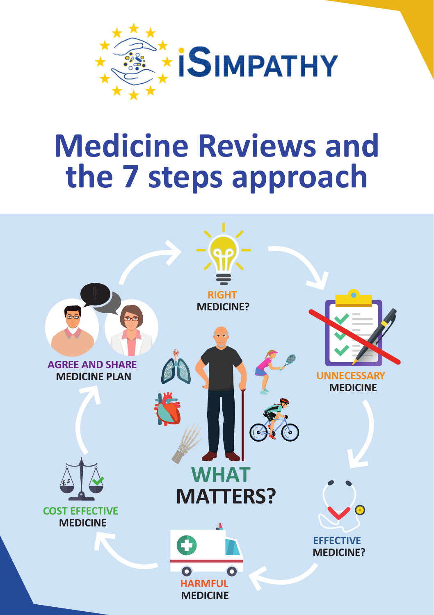

# **Medicine Reviews and the 7 steps approach**